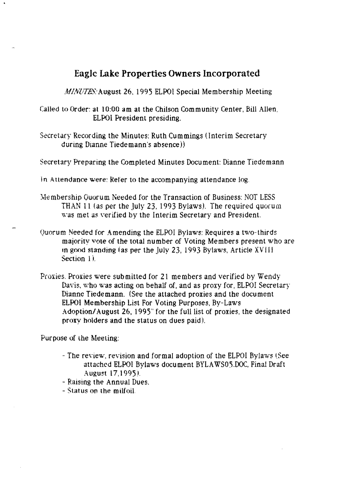## Eagle Lake Properties Owners Incorporated

*MINUTES:* August 26, 1995 ELPOI Special Membership Meeting

Called to Order: at 10:00 am at the Chilson Community Center, Bill Allen, ELPOI President presiding.

Secretary Recording the Minutes: Ruth Cummings (Interim Secretary during Dianne Tiedemann's absence))

Secretary Preparing the Completed Minutes Document: Dianne Tiedemann

In Attendance were: Refer to the accompanying attendance  $log$ .

- Membership Quorum Needed for the Transaction of Business: NOT LESS THAN 11 (as per the July 23. 1993 Bylaws). The required quorum was met as verified by the Interim Secretary and President.
- Quorum Needed for Amending the ELPOI Bylaws: Requires a two-thirds majority vote of the total number of Voting Members present who are in good standing (as per the July 23, 1993 Bylaws, Article XVIII Section 11.
- Proxies. Proxies were submitted for 21 members and verified by Wendy Davis, who was acting on behalf of, and as proxy for. ELPOI Secretary Dianne Tiedemann. (See the attached proxies and the document ELPOI Membership List For Voting Purposes. By-Laws Adoption/August 26, 1995" for the full list of proxies, the designated proxy holders and the status on dues paid),

Purpose of the Meeting:

- The review, revision and formal adoption of the ELPOI Bylaws (See attached ELPOI Bylaws document BYLAWS05.DOC. Final Draft August 17,1995).
- Raising the Annual Dues.
- $-$  Status on the milfoil.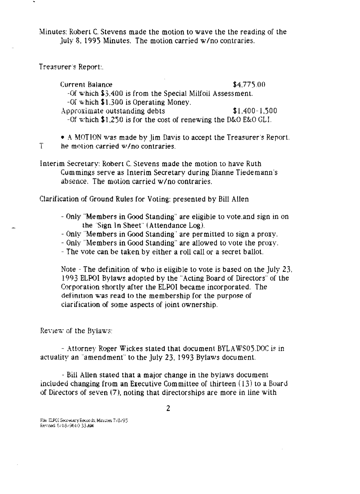Minutes: Robert C. Stevens made the motion to wave the the reading of the July 8, 1995 Minutes. The motion carried wIno contraries.

Treasurer's Report:.

Current Balance \$4.775,00 -Of which \$3,400 is from the Special Milfoil Assessment. -Of which \$1300 is Operating Money. Approximate outstanding debts  $$1,400-1,500$ -Of v/hich \$L250 is for the cost of renewing the D&O E&O GLI.

• A MOTION was made by Jim Davis to accept the Treasurer's Report.

 $T$  he motion carried  $w/no$  contraries.

Interim Secretary: Robert C. Stevens made the motion to have Ruth Cummings serve as Interim Secretary during Dianne Tiedemann's absence. The motion carried w/no contraries.

Clarification of Ground Rules for Voting: presented by Bill Allen

- Only "Members in Good Standing" are eligible to vote,and sign in on the "Sign In Sheet" (Attendance Log).
- Only "Members in Good Standing" are permitted to sign a proxy.
- Only "Members in Good Standing" are allowed to vote the proxy.
- The vote can be taken by either a roll call or a secret ballot.

Note - The definition of who is eligible to vote is based on the July 23. 1993 ELPOI Bylaws adopted by the "Acting Board of Directors" of the Corporation shortly after the ELPOI became incorporated. The defimtlon was read to the membership for the purpose of clarification of some aspects of joint ownership,

Review of the Bylaws:

- Attorney Roger Wickes stated that document BYLAWS05.DOC is in actuality an 'amendment" to the July 23, 1993 Bylaws document.

- Bill Allen stated that a major change in the bylaws document included changing from an Executive Committee of thirteen  $(13)$  to a Board of Directors of seven (7J, noting that directorships are more in line with

2

File; ELPOI Secretary Records, Minutes 778795 Revised 6/16/9610 33 AM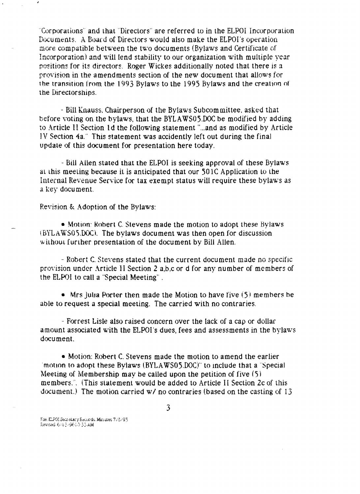"Corporations" and that "Directors" are referred to in the ELPOI Incorporation Documents, A Board of Directors would also make the ELPOI's operation more compatible between the two documents (Bylaws and Certifjcate of Incorporation) and will lend stability to our organization with multiple year positions for its directors. Roger Wickes additionally noted that there is a provision in the amendments section of the new document that allows for the transition from the 1993 Bylaws to the 1995 Bylaws and the creation of the Directorships,

- Bill Knauss, Chairperson of the Bylaws Subcommittee. asked that before voting on the bylaws. that the BYLAWS05.DOC be modified by adding to Article II Section Id the following statement "...and as modified by Article IV Section 4a." This statement was accidently left out during the final update of this document for presentation here today,

- Bill Allen stated that the ELPOI is seeking approval of these Bylaws al this meeting because it is anticipated that our SO 1C Application to the Internal Revenue Service for tax exempt status will require these bylaws as a key document.

Revision & Adoption of the Bylaws:

• Motion: Robert C. Stevens made the motion to adopt these Bylaws (BYLAWS05.DOC). The bylaws document was then open for discussion without further presentation of the document by Bill Allen.

Robert C. Stevens stated that the current document made no specific provision under Article II Section 2 a,b,c or d for any number of members of the ELPOI to call a "Special Meeting" .

• Mrs Julia Porter then made the Motion to have five  $(5)$  members be able to request a special meeting. The carried with no contraries.

- Forrest Lisle also raised concern over the lack of a cap or dollar amount associated with the ELPOI's dues, fees and assessments in the bylaws document.

• Motion: Robert C. Stevens made the motion to amend the earlier 'motion to adopt these Bylaws (BYLAWSOS.DOC)" to mclude that a "Special Meeting of Membership may be called upon the petition of five  $(5)$ members.". (This statement would be added to Article II Section 2c of this document.) The motion carried  $w/$  no contraries (based on the casting of 13

Fie .**E**LPOI Jean eilur y Keannds. Minumes 7/ii:/95 .  $F_{\rm{e}}$   $F_{\rm{e}}$  ,  $F_{\rm{e}}$  ,  $F_{\rm{e}}$  ,  $F_{\rm{e}}$  ,  $F_{\rm{e}}$  is  $F_{\rm{e}}$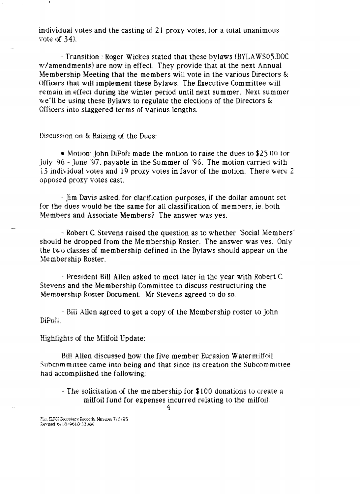individual votes and the casting of  $21$  proxy votes, for a total unanimous vote of 34).

- Transition: Roger Wickes stated that these bylaws (BYLAWS05,DOC) w/amendments) are now in effect. They provide that at the next Annual Membership Meeting that the members will vote in the various Directors & Officers that wtU implement these Bylaws. The Executive Committee will remain in effect during the winter period until next summer. Next summer we'll be using these Bylaws to regulate the elections of the Directors & Officers into staggered terms of various lengths,

Discussion on & Raising of the Dues:

• Motion: John DiPoft made the motion to raise the dues to  $$2500$  for July 96 June '97. payable in the Summer of '96. The motion carried with 13 indiv idual votes and 19 proxy votes in favor of the motion. There were 2 opposed proxy votes cast

,. Jim Davis asked. for clarification purposes, if the dollar amount set for the dues would be the same for all classification of members. ie. both Members and Associate Members? The answer was yes.

- Robert C. Stevens raised the question as to whether "Social Members" should be dropped from the Membership Roster. The answer was yes. Only the two classes of membership defined in the Bylaws should appear on the Membership Roster.

- President Bill Allen asked to meet later in the year with Robert C. Stevens and the Membership Committee to discuss restructuring the Membership Roster Document. Mr Stevens agreed to do so.

- Biil Allen agreed to get a copy of the Membership roster to John DiPof<sub>i</sub>.

Highlights of the Milfoil Update:

Bill Allen discussed how the five member Eurasion Watermilfoil Subcommittee came into being and that since its creation the Subcommittee. had accomplished the following;

- The solicitation of the membership for \$100 donations to create a milfoil fund for expenses incurred relating to the milfoil. 4

File. ELFOI Secretary Feconds. Minutes 776: 95. Revised 6,18,9610-33 AM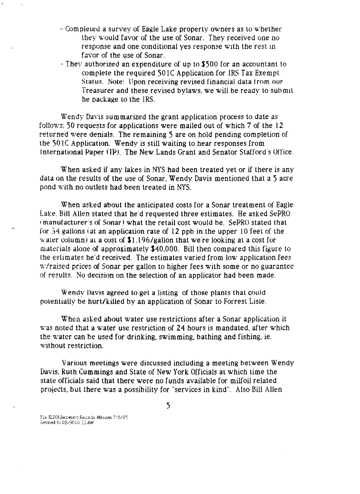- CompleLed a survey of Eagle Lake property owners as to whether they would favor of the use of Sonar. They received one no response and one conditional yes response with the rest in favor of the use of Sonar.
- They authorized an expenditure of up to \$500 for an accountant to complete the required 501C Application for IRS Tax Exempt Status. Note: Upon receiving revised financial data from our Treasurer and these revised bylaws, we will be ready to submit he package to the IRS.

Wendy Davis summarized the grant application process to date as follows:  $50$  requests for applications were mailed out of which 7 of the 12 returned were denials. The remaining 5 are on hold pending completion of the 501C Application. Wendy is still waiting to hear responses from International Paper (IP). The New Lands Grant and Senator Stafford's Office.

When asked if any iakes in NYS had been treated yet or if there is any data on the results of the use of Sonar. Wendy Davis mentioned that a 5 acre pond \\;ith no outlets had been treated in NYS.

When asked about the anticipated costs for a Sonar treatment of Eagle Late, Bill Allen stated that he'd requested three estimates. He asked SePRO  $Imantacter's of Sonar)$  what the retail cost would be. SePRO stated that for  $34$  gallons (at an application rate of 12 ppb in the upper 10 feet of the water column) at a cost of  $$1,196$ /gallon that we're looking at a cost for materials alone of approximately \$40,000. Bill then compared this figure to the estimates he'd received. The estimates varied from low application fees \\"/raised prices of Sonar per gallon to higher fees with some or no guarantee of results. No decision on the selection of an applicator had been made.

Wendy Davis agreed to get a listing of those plants that could potentially be hurt/killed by an application of Sonar to Forrest Lisle.

When asked about water use restrictions after a Sonar application it was noted that a water use restriction of 24 hours is mandated, after which the water can be used for drinking, swimming, bathing and fishing, ie. without restriction.

Various meetings were discussed including a meeting between Wendy Davis, Ruth Cummings and State of New York Officials at which time the state officials said that there were no funds available for milfoil related projects, but there was a possibility for "services in kind". Also Bill Allen

Fire: ELPOI Secretary: Records. Miranes. 7 / 6 / 95  $\approx$  0.15/9610 3J AM